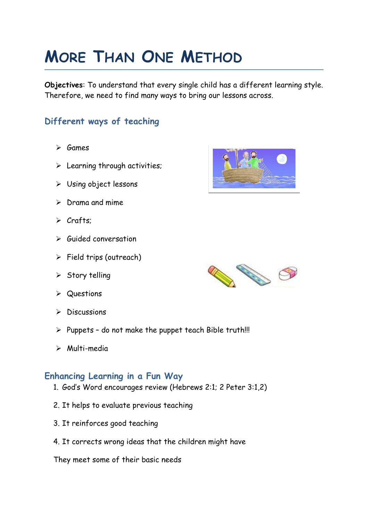# **MORE THAN ONE METHOD**

**Objectives**: To understand that every single child has a different learning style. Therefore, we need to find many ways to bring our lessons across.

# **Different ways of teaching**

- $\triangleright$  Games
- $\triangleright$  Learning through activities;
- Using object lessons
- $\triangleright$  Drama and mime
- $\triangleright$  Crafts:
- $\triangleright$  Guided conversation
- $\triangleright$  Field trips (outreach)
- $\triangleright$  Story telling
- **▶** Questions
- $\triangleright$  Discussions
- $\triangleright$  Puppets do not make the puppet teach Bible truth!!!
- $\triangleright$  Multi-media

#### **Enhancing Learning in a Fun Way**

- 1. God's Word encourages review (Hebrews 2:1; 2 Peter 3:1,2)
- 2. It helps to evaluate previous teaching
- 3. It reinforces good teaching
- 4. It corrects wrong ideas that the children might have

They meet some of their basic needs



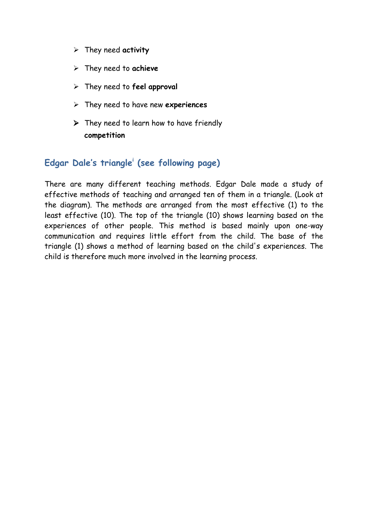- They need **activity**
- They need to **achieve**
- They need to **feel approval**
- They need to have new **experiences**
- $\triangleright$  They need to learn how to have friendly **competition**

### **Edgar Dale's triangle<sup>i</sup> (see following page)**

There are many different teaching methods. Edgar Dale made a study of effective methods of teaching and arranged ten of them in a triangle. (Look at the diagram). The methods are arranged from the most effective (1) to the least effective (10). The top of the triangle (10) shows learning based on the experiences of other people. This method is based mainly upon one-way communication and requires little effort from the child. The base of the triangle (1) shows a method of learning based on the child's experiences. The child is therefore much more involved in the learning process.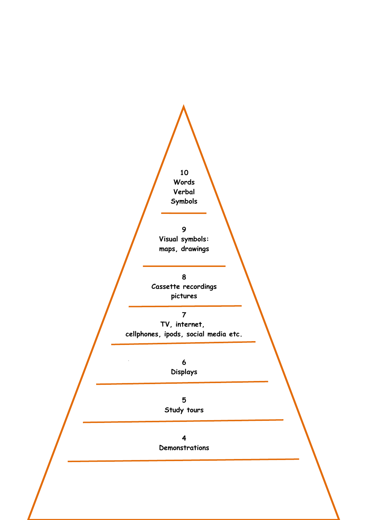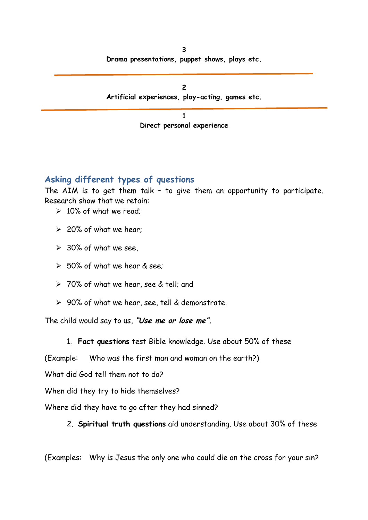| 2<br>Artificial experiences, play-acting, games etc. |
|------------------------------------------------------|
|                                                      |
| Direct personal experience                           |

#### **Asking different types of questions**

The AIM is to get them talk – to give them an opportunity to participate. Research show that we retain:

- $\geq 10\%$  of what we read;
- $\geq$  20% of what we hear:
- $\geq$  30% of what we see,
- $>$  50% of what we hear & see:
- > 70% of what we hear, see & tell; and
- $\geq 90\%$  of what we hear, see, tell & demonstrate.

The child would say to us, **"Use me or lose me".**

1. **Fact questions** test Bible knowledge. Use about 50% of these

(Example: Who was the first man and woman on the earth?)

What did God tell them not to do?

When did they try to hide themselves?

Where did they have to go after they had sinned?

2. **Spiritual truth questions** aid understanding. Use about 30% of these

(Examples: Why is Jesus the only one who could die on the cross for your sin?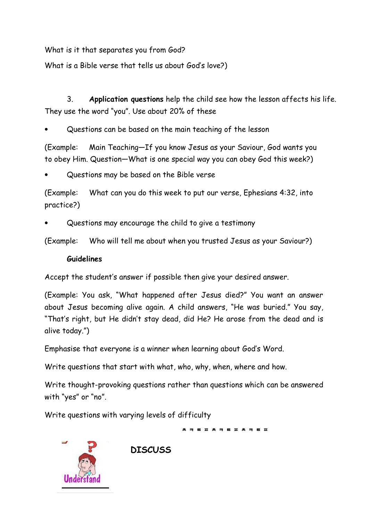What is it that separates you from God?

What is a Bible verse that tells us about God's love?)

3. **Application questions** help the child see how the lesson affects his life. They use the word "you". Use about 20% of these

Questions can be based on the main teaching of the lesson

(Example: Main Teaching—If you know Jesus as your Saviour, God wants you to obey Him. Question—What is one special way you can obey God this week?)

Questions may be based on the Bible verse

(Example: What can you do this week to put our verse, Ephesians 4:32, into practice?)

Questions may encourage the child to give a testimony

(Example: Who will tell me about when you trusted Jesus as your Saviour?)

#### **Guidelines**

Accept the student's answer if possible then give your desired answer.

(Example: You ask, "What happened after Jesus died?" You want an answer about Jesus becoming alive again. A child answers, "He was buried." You say, "That's right, but He didn't stay dead, did He? He arose from the dead and is alive today.")

Emphasise that everyone is a winner when learning about God's Word.

Write questions that start with what, who, why, when, where and how.

Write thought-provoking questions rather than questions which can be answered with "yes" or "no".

\* ㅋ ㅌ ㅍ ㅊ ㅋ ㅌ ㅍ ㅊ ㅋ ㅌ ㅍ

Write questions with varying levels of difficulty

**DISCUSS**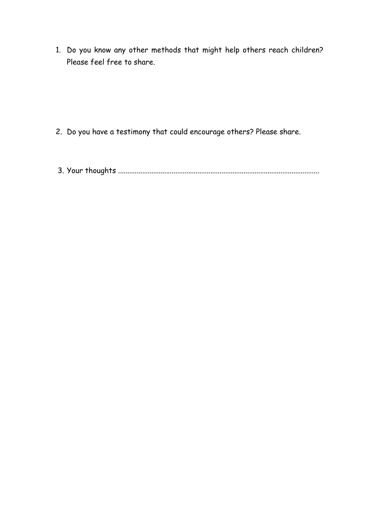1. Do you know any other methods that might help others reach children? Please feel free to share.

- 2. Do you have a testimony that could encourage others? Please share.
- 3. Your thoughts .............................................................................................................